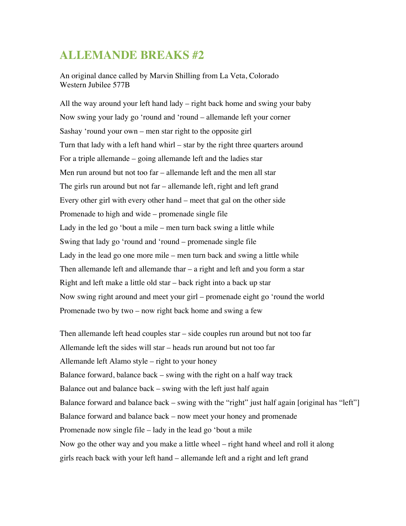## **ALLEMANDE BREAKS #2**

An original dance called by Marvin Shilling from La Veta, Colorado Western Jubilee 577B

All the way around your left hand lady – right back home and swing your baby Now swing your lady go 'round and 'round – allemande left your corner Sashay 'round your own – men star right to the opposite girl Turn that lady with a left hand whirl – star by the right three quarters around For a triple allemande – going allemande left and the ladies star Men run around but not too far – allemande left and the men all star The girls run around but not far – allemande left, right and left grand Every other girl with every other hand – meet that gal on the other side Promenade to high and wide – promenade single file Lady in the led go 'bout a mile – men turn back swing a little while Swing that lady go 'round and 'round – promenade single file Lady in the lead go one more mile – men turn back and swing a little while Then allemande left and allemande thar – a right and left and you form a star Right and left make a little old star – back right into a back up star Now swing right around and meet your girl – promenade eight go 'round the world Promenade two by two – now right back home and swing a few

Then allemande left head couples star – side couples run around but not too far Allemande left the sides will star – heads run around but not too far Allemande left Alamo style – right to your honey Balance forward, balance back – swing with the right on a half way track Balance out and balance back – swing with the left just half again Balance forward and balance back – swing with the "right" just half again [original has "left"] Balance forward and balance back – now meet your honey and promenade Promenade now single file – lady in the lead go 'bout a mile Now go the other way and you make a little wheel – right hand wheel and roll it along girls reach back with your left hand – allemande left and a right and left grand